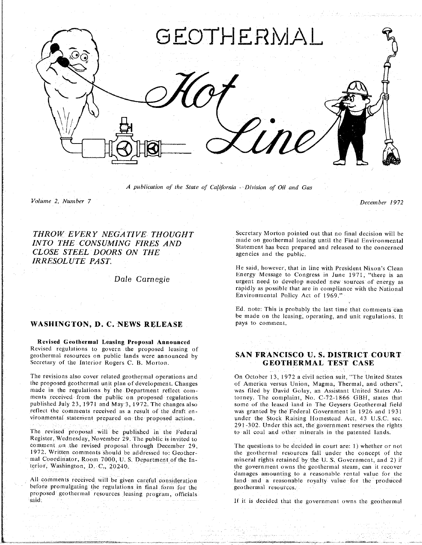

A publication of the State oJ California - *Division of Oil and Gas*

*Volume 2*, *Number 7 December 197*2

*INTOSE STEEL DOORS ON THE* agencies and the public. **COLORES CLOSE** *CLOSE* **CLOSE** *CLOSE CLOSE CLOSE CLOSE CLOSE CLOSE CLOSE CLOSE CLOSE CLOSE CLOSE CLOSE CLOSE CLOSE CLOSE CLOSE CLOSE CLOSE CLOS IRRESOLUTE PAST*.

Dale Carnegie

## WASHINGTON, D. C. NEWS RELEASE pays to comment.

**Rev**i**sed Geothermal Leasing Pr**u**posa**l **Announced** geothermal resources on public lands were announced by **georgian by** *of the Interior Rogers <i>C***. B. Morton** *C. B. C. B. C. B. C. B. C. B. C. B. C. B. B. C. B. C. C. B. B. B. C. B. B. C. C. B. B. B. C. B. B. B. C. B. B. B. C. B. B. C. B. B. C. B. B. C. B. B. C. B. B. C. B.* 

made in the regulations by the Department reflect com- was filed by David Golay, an Assistant United States Atments received from the public on proposed regulations torney. The complaint, No. C-72-1866 GBH, states that published July 23, 1971 and May 3, 1972. The changes also some of the leased land in The Geysers Geothermal field reflect the comments received as a result of the draft en-<br>was granted by the Federal Government in 1926 and 1931 vironmental statement prepared on the proposed action. The under the Stock Raising Homestead Act, 43 U.S.C. sec.

The revised proposal will be published in the Federal Register, Wednesday, November 29. The public is invited to comment on the revised proposal through December 29, comment on the revised proposal through December 29,<br>1972. Written comments should be addressed to: Geother the geother and resources fall under the concept of the

All comments received will be given careful consideration land and a reasonable before promulgating the regulations in final form for the produced resources. proposed geothermal resources leasing program, officials  $\mathbf{s}$ aid $\mathbf{r}$  resources leasing proposed by  $\mathbf{r}$  resources leasing program, of  $\mathbf{r}$ said If it is decided that the government of the government of the geothermal owns the geothermal of the geoth

**THROW EVERY NEGATIVE THOUGHT** Secretary Morton pointed out that no final decision will be<br> **INTO THE CONSUMING FIRES AND** Statement has been nunnered and aclered the intercommental Statement has been prepared and released to the concerned

> He said, however, that in line with President Nixon's Clean<br>Energy Message to Congress in June 1971, "there is an urgent need to develop needed new sources of energy as rapidly as possible that are in compliance with the National  $r_{\rm{in}}$  rapidly and  $r_{\rm{out}}$  are in compliance with the  $r_{\rm{in}}$ Environmental Policy Act of 1969.'"

> the made on the leasing operating and unit requisitions I  $\mathcal{L}$  is the comment regulations of unit  $\mathcal{L}$

# SAN FRANCISCO U.S. DISTRICT COURT **s**ec**r**e**t**a**ry** o**f** the **Int**e**ri**or Ro**g**er**s** C **B. M**or**to**n. **GEOTHERMAL TEST CASE**

The revisions also cover related geothermal operations and The On October 13, 1972 a civil action suit, "The United States the proposed geothermal unit plan of development. Changes of America versus Union, Magma, Thermal, *z*91-302. Under this act, the government reserves the rights to all coal and other minerals in the patented lands.

mal Coordinator, Room 7000, U.S. Department of the In- **the mineral rights retained by the U.S. Government**, and 2) if real Coordinator. Room 7000. U S. Department of \_he **I**n**-** m**i**neral rights re**t**ained by the U. S. Government. and 2l if damages amounting to a reasonable rental value for the land and a reasonable royalty value for the produced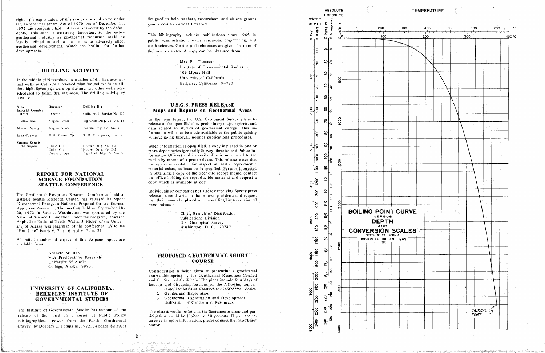rights, the exploitation of this resource would come under the Geothermal Steam Act of 1970. As of December 11, 1972 the complaint had not been answered by the defendents. This case is extremely important to the entire geothermal industry as geothermal resources could be legally defined in such a manner as to adversely affect geothermal development. Watch the hotline for further developments.

## DRILLING ACTIVITY

In the middle of November, the number of drilling geothermal wells in California reached what we believe is an alltime high. Seven rigs were on site and two other wells were scheduled to begin drilling soon. The drilling activity by area is:

| Area                       | Operator           | Drilling Rig<br>$\ddot{\phantom{a}}$ |
|----------------------------|--------------------|--------------------------------------|
| Imperial County:<br>Heber: | Chevron            | Calif. Prod. Service No. D7          |
| Salton Sea:                | Magma Power        | Big Chief Drlg, Co. No. $18$         |
| Modoc County:              | Magma Power        | Beeline Drlg. Co. No. 5              |
| Lake County:               | E. B. Towne, Oper. | R. B. Montgomery No. 14              |
| Sonoma County:             |                    |                                      |
| The Geysers:               | Union Oil          | Hoover Drig. No. A-1.                |
|                            | Union Oil          | Hoover Drig. No. E-2                 |
|                            | Pacific Energy     | Rig Chief Drlg. Co. No. 38           |

## **REPORT FOR NATIONAL SCIENCE FOUNDATION SEATTLE CONFERENCE**

The Geothermal Resources Research Conference, held at Battelle Seattle Research Center, has released its report "Geothermal Energy, a National Proposal for Geothermal Resources Research". The meeting, held on September 18-20, 1972 in Seattle, Washington, was sponsored by the National Science Foundation under the program, Research Applied to National Needs. Walter J. Hickel of the University of Alaska was chairman of the conference. (Also see "Hot Line" issues  $v$ , 2, n, 6 and  $v$ . 2, n, 3)

A limited number of copies of this 95-page report are available from:

> Kenneth M. Rae Vice President for Research University of Alaska College, Alaska 99701

## UNIVERSITY OF CALIFORNIA, **BERKELEY INSTITUTE OF GOVERNMENTAL STUDIES**

The Institute of Governmental Studies has announced the release of the third in a series of Public Policy Bibliographies. "Power from the Earth: Geothermal Energy" by Dorothy C. Tompkins, 1972, 34 pages, \$2.50, is designed to help teachers, researchers, and citizen groups gain access to current literature.

This bibliography includes publications since 1965 in public administration, water resources, engineering, and earth sciences. Geothermal references are given for nine of the western states. A copy can be obtained from:

> Mrs. Pat Tomason Institute of Governmental Studies 109 Moses Hall University of California Berkeley, California 94720

## **U.S.G.S. PRESS RELEASE** Maps and Reports on Geothermal Areas

In the near future, the U.S. Geological Survey plans to release to the open file some preliminary maps, reports, and data related to studies of geothermal energy. This information will thus be made available to the public quickly without going through normal publications procedures.

When information is open filed, a copy is placed in one or more depositories (generally Survey libraries and Public Information Offices) and its availability is announced to the public by means of a press release. This release states that the report is available for inspection, and if reproducible material exists, its location is specified. Persons interested in obtaining a copy of the open-file report should contact the office holding the reproducible material and request a copy which is available at cost.

Individuals or companies not already receiving Survey press releases, should write to the following address and request that their names be placed on the mailing list to receive all press releases:

> Chief, Branch of Distribution **Publications Division** U.S. Geological Survey Washington, D. C. 20242

## PROPOSED GEOTHERMAL SHORT **COURSE**

Consideration is being given to presenting a geothermal course this spring by the Geothermal Resources Council and the State of California. The plans include four days of lectures and discussion sessions on the following topics:

- 1. Plate Tectonics in Relation to Geothermal Zones.
- 2. Geothermal Exploration.
- 3. Geothermal Exploitation and Development.
- 4. Utilization of Geothermal Resources.

The classes would be held in the Sacramento area, and participation would be limited to 50 persons. If you are interested in more information, please contact the "Hot Line" editor.

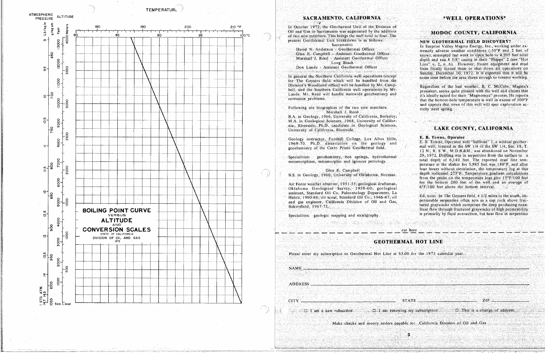![](_page_2_Figure_0.jpeg)

![](_page_2_Figure_1.jpeg)

## SACRAMENTO, CALIFORNIA

In October 1972, the Cleothermal Unit of the Division of Oil and Gas in Sacramento was augmented by the additionof two new members. This brings the staff total to four. The present Geothermal Unit breakdown is as follows: Sacramento

David N. Anderson - Geothermal Officer Glen E. Campbell - Assistant Geothermal Officer Marshall J. Reed Assistant Geothermal Officer Long Beach

Don Lande - Assistant Geothermal Officer

In general the Northern California well operations (except for The Geysers field which will be handled from the Division's Woodland office) will be handled by Mr. Campbell, and the Southern California well operations by Mr. Lande, Mr. Reed will handle statewide geochemistry and corrosion problems.

Following are biographies of the two new members: Marshall J. Reed

B.A. in Geology, 1966, University of California, Berkeley; M.A. in Geological Sciences, 1968, University of California, Riverside; Ph.D. candidate in Geological Sciences, University of California, Riverside.

Geology instructor, Foothill College, Los Altos Hills, 1969-70. Ph.D. dissertation on the geology and geochemistry of the Cerro Prieto Geothermal field.

Specialities: geochemistry, hot springs, hydrothermal metamorphism, metamorphic and igneous petrology.

Glen E. Campbell

B.S. in Geology, 1960, University of Oklahoma, Norman.

Air Force weather observer, 1951-55; geological draftsman, Oklahoma Geological Survey, 1959-60; geological assistant, Standard Oil Co. Paleontology Department, La Habra, 1960-66, oil scout, Standard Oil Co., 1966-67, oil and gas engineer, California Division of Oil and Gas, Bakersfield, 1967-72.

Specialities: geologic mapping and stratigraphy.

Please enter my subscription to Geothermal Hot Line at \$3,00 for the 1973 calendar year.

**NAME** 

**CITY** 

ADDRESS

 $\Box$  I am a new subscriber  $\Box$  I am renewing my subscription

## \*WELL OPERATIONS\*

## MODOC COUNTY, CALIFORNIA

### NEW GEOTHERMAL FIELD DISCOVERY?

In Surprise Valley Magma Energy, Inc., working under extremely adverse weather conditions  $(-30^{\circ}F \text{ and } 2 \text{ feet of})$ snow), attempted last week to open hole to 4,205 feet total depth and run 8 5/8" casing in their "Phipps" 2 (see "Hot Line" v. 2, n. 6). However, frozen equipment and mud lines finally forced them to shut down all operations on Sunday, December 10, 1972. It is expected that it will be some time before the area thaws enough to resume working.

Regardless of the bad weather, B. C. McCabe, Magma's president, seems quite pleased with the well and claims that it's ideally suited for their "Magmamax" process. He reports that the bottom-hole temperature is well in excess of 300°F and expects that news of this well will spur exploration activity next spring.

## LAKE COUNTY, CALIFORNIA

#### E. B. Towne, Operator

E. B. Towne, Operator well "Sullivan" 1, a wildcat geothermal well, located in the SW 1/4 of the SW 1/4, Sec. 18, T. 12 N. R. 8 W., M.D.B.&M., was abandoned on November  $29.1972$ . Drilling was in serpentine from the surface to a total depth of 6,140 feet. The reported mud line temperature at the shaker for 5,985 feet was 180°F, and after four hours without circulation, the temperature log at this depth indicated 273°F. Temperature gradient calculations from the peaks on the temperature logs give  $15^{\circ}$ F/100 feet for the bottom 200 feet of the well and an average of  $6^{\circ}$ F/100 feet above the bottom interval.

Ed, note: In The Geysers field, 4 1/2 miles to the south, impermeable serpentine often acts as a cap rock above fractured gravwacke which comprises the deep producing zone. Heat flow through fractured graywacke of high permeability is primarily by fluid convection, but heat flow in serpentine

cut here

## **GEOTHERMAL HOT LINE**

**STATE** 

 $\mathbf{3}$ 

 $\square$  This is a change of address.

 $ZIP$ 

Make checks and money orders payable to: California Division of Oil and Gas